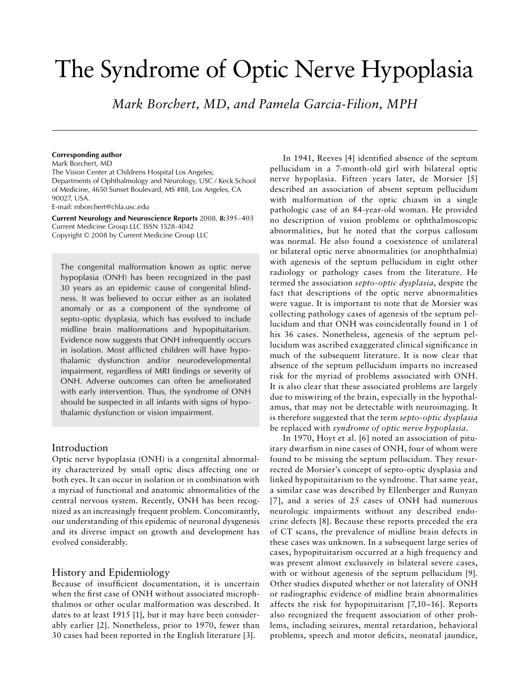# The Syndrome of Optic Nerve Hypoplasia

*Mark Borchert, MD, and Pamela Garcia-Filion, MPH*

#### **Corresponding author**

Mark Borchert, MD The Vision Center at Childrens Hospital Los Angeles; Departments of Ophthalmology and Neurology, USC / Keck School of Medicine, 4650 Sunset Boulevard, MS #88, Los Angeles, CA 90027, USA. E-mail: mborchert@chla.usc.edu

**Current Neurology and Neuroscience Reports** 2008, **8:**395–403 Current Medicine Group LLC ISSN 1528-4042 Copyright © 2008 by Current Medicine Group LLC

The congenital malformation known as optic nerve hypoplasia (ONH) has been recognized in the past 30 years as an epidemic cause of congenital blindness. It was believed to occur either as an isolated anomaly or as a component of the syndrome of septo-optic dysplasia, which has evolved to include midline brain malformations and hypopituitarism. Evidence now suggests that ONH infrequently occurs in isolation. Most afflicted children will have hypothalamic dysfunction and/or neurodevelopmental impairment, regardless of MRI findings or severity of ONH. Adverse outcomes can often be ameliorated with early intervention. Thus, the syndrome of ONH should be suspected in all infants with signs of hypothalamic dysfunction or vision impairment.

### Introduction

Optic nerve hypoplasia (ONH) is a congenital abnormality characterized by small optic discs affecting one or both eyes. It can occur in isolation or in combination with a myriad of functional and anatomic abnormalities of the central nervous system. Recently, ONH has been recognized as an increasingly frequent problem. Concomitantly, our understanding of this epidemic of neuronal dysgenesis and its diverse impact on growth and development has evolved considerably.

## History and Epidemiology

Because of insufficient documentation, it is uncertain when the first case of ONH without associated microphthalmos or other ocular malformation was described. It dates to at least 1915 [1], but it may have been considerably earlier [2]. Nonetheless, prior to 1970, fewer than 30 cases had been reported in the English literature [3].

In 1941, Reeves [4] identified absence of the septum pellucidum in a 7-month-old girl with bilateral optic nerve hypoplasia. Fifteen years later, de Morsier [5] described an association of absent septum pellucidum with malformation of the optic chiasm in a single pathologic case of an 84-year-old woman. He provided no description of vision problems or ophthalmoscopic abnormalities, but he noted that the corpus callosum was normal. He also found a coexistence of unilateral or bilateral optic nerve abnormalities (or anophthalmia) with agenesis of the septum pellucidum in eight other radiology or pathology cases from the literature. He termed the association *septo-optic dysplasia*, despite the fact that descriptions of the optic nerve abnormalities were vague. It is important to note that de Morsier was collecting pathology cases of agenesis of the septum pellucidum and that ONH was coincidentally found in 1 of his 36 cases. Nonetheless, agenesis of the septum pellucidum was ascribed exaggerated clinical significance in much of the subsequent literature. It is now clear that absence of the septum pellucidum imparts no increased risk for the myriad of problems associated with ONH. It is also clear that these associated problems are largely due to miswiring of the brain, especially in the hypothalamus, that may not be detectable with neuroimaging. It is therefore suggested that the term *septo-optic dysplasia* be replaced with *syndrome of optic nerve hypoplasia*.

In 1970, Hoyt et al. [6] noted an association of pituitary dwarfism in nine cases of ONH, four of whom were found to be missing the septum pellucidum. They resurrected de Morsier's concept of septo-optic dysplasia and linked hypopituitarism to the syndrome. That same year, a similar case was described by Ellenberger and Runyan [7], and a series of 25 cases of ONH had numerous neurologic impairments without any described endocrine defects [8]. Because these reports preceded the era of CT scans, the prevalence of midline brain defects in these cases was unknown. In a subsequent large series of cases, hypopituitarism occurred at a high frequency and was present almost exclusively in bilateral severe cases, with or without agenesis of the septum pellucidum [9]. Other studies disputed whether or not laterality of ONH or radiographic evidence of midline brain abnormalities affects the risk for hypopituitarism [7,10–16]. Reports also recognized the frequent association of other problems, including seizures, mental retardation, behavioral problems, speech and motor deficits, neonatal jaundice,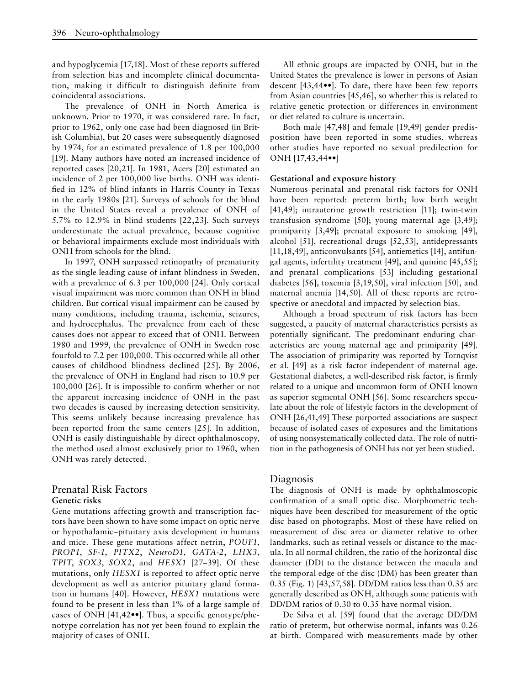and hypoglycemia [17,18]. Most of these reports suffered from selection bias and incomplete clinical documentation, making it difficult to distinguish definite from coincidental associations.

The prevalence of ONH in North America is unknown. Prior to 1970, it was considered rare. In fact, prior to 1962, only one case had been diagnosed (in British Columbia), but 20 cases were subsequently diagnosed by 1974, for an estimated prevalence of 1.8 per 100,000 [19]. Many authors have noted an increased incidence of reported cases [20,21]. In 1981, Acers [20] estimated an incidence of 2 per 100,000 live births. ONH was identified in 12% of blind infants in Harris County in Texas in the early 1980s [21]. Surveys of schools for the blind in the United States reveal a prevalence of ONH of 5.7% to 12.9% in blind students [22,23]. Such surveys underestimate the actual prevalence, because cognitive or behavioral impairments exclude most individuals with ONH from schools for the blind.

In 1997, ONH surpassed retinopathy of prematurity as the single leading cause of infant blindness in Sweden, with a prevalence of 6.3 per 100,000 [24]. Only cortical visual impairment was more common than ONH in blind children. But cortical visual impairment can be caused by many conditions, including trauma, ischemia, seizures, and hydrocephalus. The prevalence from each of these causes does not appear to exceed that of ONH. Between 1980 and 1999, the prevalence of ONH in Sweden rose fourfold to 7.2 per 100,000. This occurred while all other causes of childhood blindness declined [25]. By 2006, the prevalence of ONH in England had risen to 10.9 per 100,000 [26]. It is impossible to confirm whether or not the apparent increasing incidence of ONH in the past two decades is caused by increasing detection sensitivity. This seems unlikely because increasing prevalence has been reported from the same centers [25]. In addition, ONH is easily distinguishable by direct ophthalmoscopy, the method used almost exclusively prior to 1960, when ONH was rarely detected.

## Prenatal Risk Factors **Genetic risks**

Gene mutations affecting growth and transcription factors have been shown to have some impact on optic nerve or hypothalamic–pituitary axis development in humans and mice. These gene mutations affect netrin, *POUF1*, *PROP1*, *SF-1*, *PITX2*, *NeuroD1*, *GATA-2*, *LHX3*, *TPIT*, *SOX3*, *SOX2*, and *HESX1* [27–39]. Of these mutations, only *HESX1* is reported to affect optic nerve development as well as anterior pituitary gland formation in humans [40]. However, *HESX1* mutations were found to be present in less than 1% of a large sample of cases of ONH [41,42••]. Thus, a specific genotype/phenotype correlation has not yet been found to explain the majority of cases of ONH.

All ethnic groups are impacted by ONH, but in the United States the prevalence is lower in persons of Asian descent [43,44••]. To date, there have been few reports from Asian countries [45,46], so whether this is related to relative genetic protection or differences in environment or diet related to culture is uncertain.

Both male [47,48] and female [19,49] gender predisposition have been reported in some studies, whereas other studies have reported no sexual predilection for ONH [17,43,44••]

#### **Gestational and exposure history**

Numerous perinatal and prenatal risk factors for ONH have been reported: preterm birth; low birth weight [41,49]; intrauterine growth restriction [11]; twin-twin transfusion syndrome [50]; young maternal age [3,49]; primiparity [3,49]; prenatal exposure to smoking [49], alcohol [51], recreational drugs [52,53], antidepressants [11,18,49], anticonvulsants [54], antiemetics [14], antifungal agents, infertility treatment [49], and quinine [45,55]; and prenatal complications [53] including gestational diabetes [56], toxemia [3,19,50], viral infection [50], and maternal anemia [14,50]. All of these reports are retrospective or anecdotal and impacted by selection bias.

Although a broad spectrum of risk factors has been suggested, a paucity of maternal characteristics persists as potentially significant. The predominant enduring characteristics are young maternal age and primiparity [49]. The association of primiparity was reported by Tornqvist et al. [49] as a risk factor independent of maternal age. Gestational diabetes, a well-described risk factor, is firmly related to a unique and uncommon form of ONH known as superior segmental ONH [56]. Some researchers speculate about the role of lifestyle factors in the development of ONH [26,41,49] These purported associations are suspect because of isolated cases of exposures and the limitations of using nonsystematically collected data. The role of nutrition in the pathogenesis of ONH has not yet been studied.

#### Diagnosis

The diagnosis of ONH is made by ophthalmoscopic confirmation of a small optic disc. Morphometric techniques have been described for measurement of the optic disc based on photographs. Most of these have relied on measurement of disc area or diameter relative to other landmarks, such as retinal vessels or distance to the macula. In all normal children, the ratio of the horizontal disc diameter (DD) to the distance between the macula and the temporal edge of the disc (DM) has been greater than 0.35 (Fig. 1) [43,57,58]. DD/DM ratios less than 0.35 are generally described as ONH, although some patients with DD/DM ratios of 0.30 to 0.35 have normal vision.

De Silva et al. [59] found that the average DD/DM ratio of preterm, but otherwise normal, infants was 0.26 at birth. Compared with measurements made by other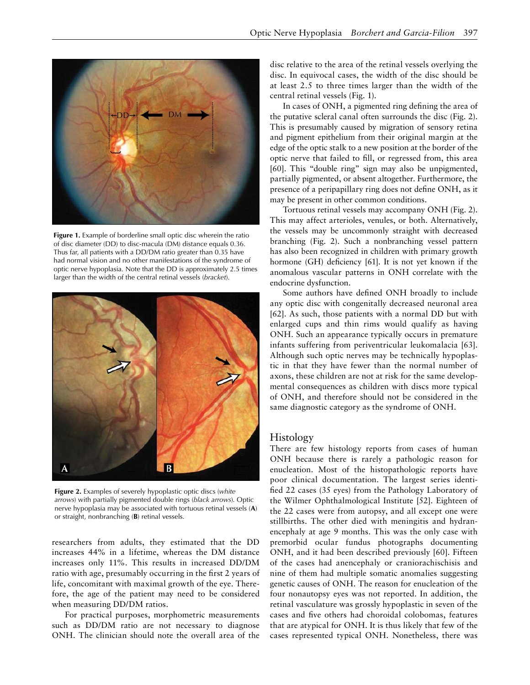

**Figure 1.** Example of borderline small optic disc wherein the ratio of disc diameter (DD) to disc-macula (DM) distance equals 0.36. Thus far, all patients with a DD/DM ratio greater than 0.35 have had normal vision and no other manifestations of the syndrome of optic nerve hypoplasia. Note that the DD is approximately 2.5 times larger than the width of the central retinal vessels (*bracket*).



**Figure 2.** Examples of severely hypoplastic optic discs (*white arrows*) with partially pigmented double rings (*black arrows*). Optic nerve hypoplasia may be associated with tortuous retinal vessels (**A**) or straight, nonbranching (**B**) retinal vessels.

researchers from adults, they estimated that the DD increases 44% in a lifetime, whereas the DM distance increases only 11%. This results in increased DD/DM ratio with age, presumably occurring in the first 2 years of life, concomitant with maximal growth of the eye. Therefore, the age of the patient may need to be considered when measuring DD/DM ratios.

For practical purposes, morphometric measurements such as DD/DM ratio are not necessary to diagnose ONH. The clinician should note the overall area of the

disc relative to the area of the retinal vessels overlying the disc. In equivocal cases, the width of the disc should be at least 2.5 to three times larger than the width of the central retinal vessels (Fig. 1).

In cases of ONH, a pigmented ring defining the area of the putative scleral canal often surrounds the disc (Fig. 2). This is presumably caused by migration of sensory retina and pigment epithelium from their original margin at the edge of the optic stalk to a new position at the border of the optic nerve that failed to fill, or regressed from, this area [60]. This "double ring" sign may also be unpigmented, partially pigmented, or absent altogether. Furthermore, the presence of a peripapillary ring does not define ONH, as it may be present in other common conditions.

Tortuous retinal vessels may accompany ONH (Fig. 2). This may affect arterioles, venules, or both. Alternatively, the vessels may be uncommonly straight with decreased branching (Fig. 2). Such a nonbranching vessel pattern has also been recognized in children with primary growth hormone (GH) deficiency [61]. It is not yet known if the anomalous vascular patterns in ONH correlate with the endocrine dysfunction.

Some authors have defined ONH broadly to include any optic disc with congenitally decreased neuronal area [62]. As such, those patients with a normal DD but with enlarged cups and thin rims would qualify as having ONH. Such an appearance typically occurs in premature infants suffering from periventricular leukomalacia [63]. Although such optic nerves may be technically hypoplastic in that they have fewer than the normal number of axons, these children are not at risk for the same developmental consequences as children with discs more typical of ONH, and therefore should not be considered in the same diagnostic category as the syndrome of ONH.

## Histology

There are few histology reports from cases of human ONH because there is rarely a pathologic reason for enucleation. Most of the histopathologic reports have poor clinical documentation. The largest series identified 22 cases (35 eyes) from the Pathology Laboratory of the Wilmer Ophthalmological Institute [52]. Eighteen of the 22 cases were from autopsy, and all except one were stillbirths. The other died with meningitis and hydranencephaly at age 9 months. This was the only case with premorbid ocular fundus photographs documenting ONH, and it had been described previously [60]. Fifteen of the cases had anencephaly or craniorachischisis and nine of them had multiple somatic anomalies suggesting genetic causes of ONH. The reason for enucleation of the four nonautopsy eyes was not reported. In addition, the retinal vasculature was grossly hypoplastic in seven of the cases and five others had choroidal colobomas, features that are atypical for ONH. It is thus likely that few of the cases represented typical ONH. Nonetheless, there was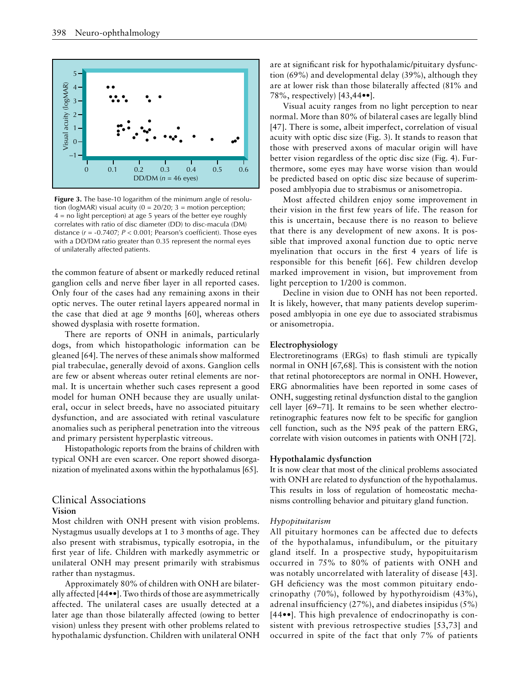

tion (logMAR) visual acuity (0 = 20/20; 3 = motion perception;  $4 =$  no light perception) at age 5 years of the better eye roughly **Figure 3.** The base-10 logarithm of the minimum angle of resolucorrelates with ratio of disc diameter (DD) to disc-macula (DM) distance (*r* = -0.7407; *P* < 0.001; Pearson's coefficient). Those eyes with a DD/DM ratio greater than 0.35 represent the normal eyes of unilaterally affected patients.

the common feature of absent or markedly reduced retinal ganglion cells and nerve fiber layer in all reported cases. Only four of the cases had any remaining axons in their optic nerves. The outer retinal layers appeared normal in the case that died at age 9 months [60], whereas others showed dysplasia with rosette formation.

There are reports of ONH in animals, particularly dogs, from which histopathologic information can be gleaned [64]. The nerves of these animals show malformed pial trabeculae, generally devoid of axons. Ganglion cells are few or absent whereas outer retinal elements are normal. It is uncertain whether such cases represent a good model for human ONH because they are usually unilateral, occur in select breeds, have no associated pituitary dysfunction, and are associated with retinal vasculature anomalies such as peripheral penetration into the vitreous and primary persistent hyperplastic vitreous.

Histopathologic reports from the brains of children with typical ONH are even scarcer. One report showed disorganization of myelinated axons within the hypothalamus [65].

## Clinical Associations **Vision**

Most children with ONH present with vision problems. Nystagmus usually develops at 1 to 3 months of age. They also present with strabismus, typically esotropia, in the first year of life. Children with markedly asymmetric or unilateral ONH may present primarily with strabismus rather than nystagmus.

Approximately 80% of children with ONH are bilaterally affected [44••]. Two thirds of those are asymmetrically affected. The unilateral cases are usually detected at a later age than those bilaterally affected (owing to better vision) unless they present with other problems related to hypothalamic dysfunction. Children with unilateral ONH are at significant risk for hypothalamic/pituitary dysfunction (69%) and developmental delay (39%), although they are at lower risk than those bilaterally affected (81% and 78%, respectively) [43,44••].

Visual acuity ranges from no light perception to near normal. More than 80% of bilateral cases are legally blind [47]. There is some, albeit imperfect, correlation of visual acuity with optic disc size (Fig. 3). It stands to reason that those with preserved axons of macular origin will have better vision regardless of the optic disc size (Fig. 4). Furthermore, some eyes may have worse vision than would be predicted based on optic disc size because of superimposed amblyopia due to strabismus or anisometropia.

Most affected children enjoy some improvement in their vision in the first few years of life. The reason for this is uncertain, because there is no reason to believe that there is any development of new axons. It is possible that improved axonal function due to optic nerve myelination that occurs in the first 4 years of life is responsible for this benefit [66]. Few children develop marked improvement in vision, but improvement from light perception to 1/200 is common.

Decline in vision due to ONH has not been reported. It is likely, however, that many patients develop superimposed amblyopia in one eye due to associated strabismus or anisometropia.

#### **Electrophysiology**

Electroretinograms (ERGs) to flash stimuli are typically normal in ONH [67,68]. This is consistent with the notion that retinal photoreceptors are normal in ONH. However, ERG abnormalities have been reported in some cases of ONH, suggesting retinal dysfunction distal to the ganglion cell layer [69–71]. It remains to be seen whether electroretinographic features now felt to be specific for ganglion cell function, such as the N95 peak of the pattern ERG, correlate with vision outcomes in patients with ONH [72].

#### **Hypothalamic dysfunction**

It is now clear that most of the clinical problems associated with ONH are related to dysfunction of the hypothalamus. This results in loss of regulation of homeostatic mechanisms controlling behavior and pituitary gland function.

#### *Hypopituitarism*

All pituitary hormones can be affected due to defects of the hypothalamus, infundibulum, or the pituitary gland itself. In a prospective study, hypopituitarism occurred in 75% to 80% of patients with ONH and was notably uncorrelated with laterality of disease [43]. GH deficiency was the most common pituitary endocrinopathy (70%), followed by hypothyroidism (43%), adrenal insufficiency (27%), and diabetes insipidus (5%) [44••]. This high prevalence of endocrinopathy is consistent with previous retrospective studies [53,73] and occurred in spite of the fact that only 7% of patients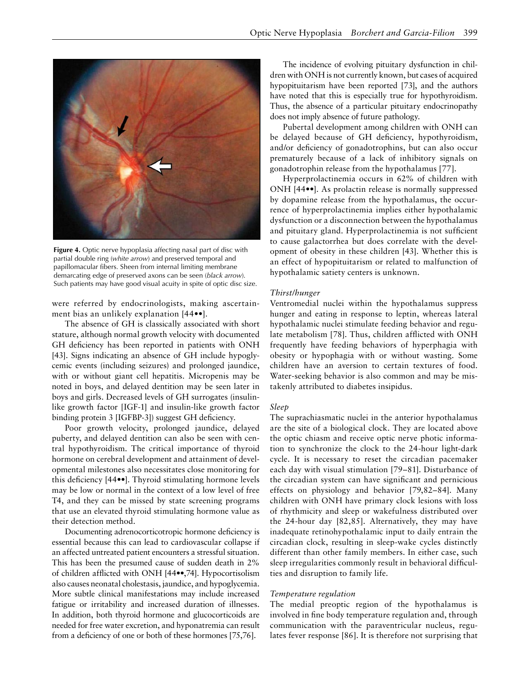

**Figure 4.** Optic nerve hypoplasia affecting nasal part of disc with partial double ring (*white arrow*) and preserved temporal and papillomacular fibers. Sheen from internal limiting membrane demarcating edge of preserved axons can be seen (*black arrow*). Such patients may have good visual acuity in spite of optic disc size.

were referred by endocrinologists, making ascertainment bias an unlikely explanation [44••].

The absence of GH is classically associated with short stature, although normal growth velocity with documented GH deficiency has been reported in patients with ONH [43]. Signs indicating an absence of GH include hypoglycemic events (including seizures) and prolonged jaundice, with or without giant cell hepatitis. Micropenis may be noted in boys, and delayed dentition may be seen later in boys and girls. Decreased levels of GH surrogates (insulinlike growth factor [IGF-1] and insulin-like growth factor binding protein 3 [IGFBP-3]) suggest GH deficiency.

Poor growth velocity, prolonged jaundice, delayed puberty, and delayed dentition can also be seen with central hypothyroidism. The critical importance of thyroid hormone on cerebral development and attainment of developmental milestones also necessitates close monitoring for this deficiency [44••]. Thyroid stimulating hormone levels may be low or normal in the context of a low level of free T4, and they can be missed by state screening programs that use an elevated thyroid stimulating hormone value as their detection method.

Documenting adrenocorticotropic hormone deficiency is essential because this can lead to cardiovascular collapse if an affected untreated patient encounters a stressful situation. This has been the presumed cause of sudden death in 2% of children afflicted with ONH [44••,74]. Hypocortisolism also causes neonatal cholestasis, jaundice, and hypoglycemia. More subtle clinical manifestations may include increased fatigue or irritability and increased duration of illnesses. In addition, both thyroid hormone and glucocorticoids are needed for free water excretion, and hyponatremia can result from a deficiency of one or both of these hormones [75,76].

The incidence of evolving pituitary dysfunction in children with ONH is not currently known, but cases of acquired hypopituitarism have been reported [73], and the authors have noted that this is especially true for hypothyroidism. Thus, the absence of a particular pituitary endocrinopathy does not imply absence of future pathology.

Pubertal development among children with ONH can be delayed because of GH deficiency, hypothyroidism, and/or deficiency of gonadotrophins, but can also occur prematurely because of a lack of inhibitory signals on gonadotrophin release from the hypothalamus [77].

Hyperprolactinemia occurs in 62% of children with ONH [44••]. As prolactin release is normally suppressed by dopamine release from the hypothalamus, the occurrence of hyperprolactinemia implies either hypothalamic dysfunction or a disconnection between the hypothalamus and pituitary gland. Hyperprolactinemia is not sufficient to cause galactorrhea but does correlate with the development of obesity in these children [43]. Whether this is an effect of hypopituitarism or related to malfunction of hypothalamic satiety centers is unknown.

#### *Thirst/hunger*

Ventromedial nuclei within the hypothalamus suppress hunger and eating in response to leptin, whereas lateral hypothalamic nuclei stimulate feeding behavior and regulate metabolism [78]. Thus, children afflicted with ONH frequently have feeding behaviors of hyperphagia with obesity or hypophagia with or without wasting. Some children have an aversion to certain textures of food. Water-seeking behavior is also common and may be mistakenly attributed to diabetes insipidus.

#### *Sleep*

The suprachiasmatic nuclei in the anterior hypothalamus are the site of a biological clock. They are located above the optic chiasm and receive optic nerve photic information to synchronize the clock to the 24-hour light-dark cycle. It is necessary to reset the circadian pacemaker each day with visual stimulation [79–81]. Disturbance of the circadian system can have significant and pernicious effects on physiology and behavior [79,82–84]. Many children with ONH have primary clock lesions with loss of rhythmicity and sleep or wakefulness distributed over the 24-hour day [82,85]. Alternatively, they may have inadequate retinohypothalamic input to daily entrain the circadian clock, resulting in sleep-wake cycles distinctly different than other family members. In either case, such sleep irregularities commonly result in behavioral difficulties and disruption to family life.

#### *Temperature regulation*

The medial preoptic region of the hypothalamus is involved in fine body temperature regulation and, through communication with the paraventricular nucleus, regulates fever response [86]. It is therefore not surprising that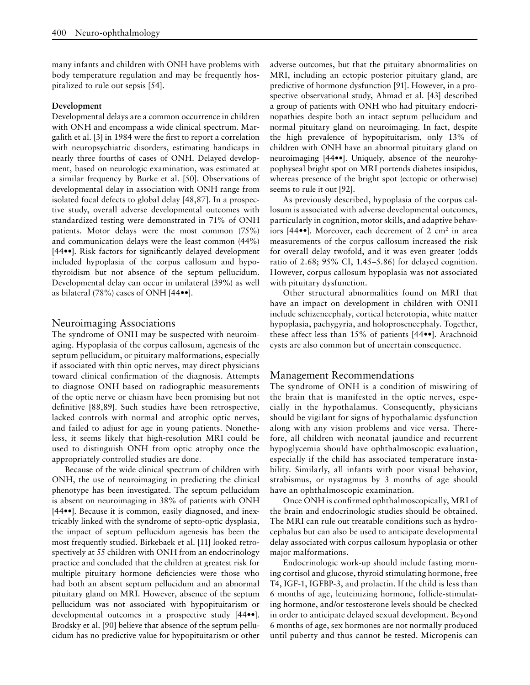many infants and children with ONH have problems with body temperature regulation and may be frequently hospitalized to rule out sepsis [54].

#### **Development**

Developmental delays are a common occurrence in children with ONH and encompass a wide clinical spectrum. Margalith et al. [3] in 1984 were the first to report a correlation with neuropsychiatric disorders, estimating handicaps in nearly three fourths of cases of ONH. Delayed development, based on neurologic examination, was estimated at a similar frequency by Burke et al. [50]. Observations of developmental delay in association with ONH range from isolated focal defects to global delay [48,87]. In a prospective study, overall adverse developmental outcomes with standardized testing were demonstrated in 71% of ONH patients. Motor delays were the most common (75%) and communication delays were the least common (44%) [44••]. Risk factors for significantly delayed development included hypoplasia of the corpus callosum and hypothyroidism but not absence of the septum pellucidum. Developmental delay can occur in unilateral (39%) as well as bilateral (78%) cases of ONH [44••].

## Neuroimaging Associations

The syndrome of ONH may be suspected with neuroimaging. Hypoplasia of the corpus callosum, agenesis of the septum pellucidum, or pituitary malformations, especially if associated with thin optic nerves, may direct physicians toward clinical confirmation of the diagnosis. Attempts to diagnose ONH based on radiographic measurements of the optic nerve or chiasm have been promising but not definitive [88,89]. Such studies have been retrospective, lacked controls with normal and atrophic optic nerves, and failed to adjust for age in young patients. Nonetheless, it seems likely that high-resolution MRI could be used to distinguish ONH from optic atrophy once the appropriately controlled studies are done.

Because of the wide clinical spectrum of children with ONH, the use of neuroimaging in predicting the clinical phenotype has been investigated. The septum pellucidum is absent on neuroimaging in 38% of patients with ONH [44••]. Because it is common, easily diagnosed, and inextricably linked with the syndrome of septo-optic dysplasia, the impact of septum pellucidum agenesis has been the most frequently studied. Birkebaek et al. [11] looked retrospectively at 55 children with ONH from an endocrinology practice and concluded that the children at greatest risk for multiple pituitary hormone deficiencies were those who had both an absent septum pellucidum and an abnormal pituitary gland on MRI. However, absence of the septum pellucidum was not associated with hypopituitarism or developmental outcomes in a prospective study [44••]. Brodsky et al. [90] believe that absence of the septum pellucidum has no predictive value for hypopituitarism or other adverse outcomes, but that the pituitary abnormalities on MRI, including an ectopic posterior pituitary gland, are predictive of hormone dysfunction [91]. However, in a prospective observational study, Ahmad et al. [43] described a group of patients with ONH who had pituitary endocrinopathies despite both an intact septum pellucidum and normal pituitary gland on neuroimaging. In fact, despite the high prevalence of hypopituitarism, only 13% of children with ONH have an abnormal pituitary gland on neuroimaging [44••]. Uniquely, absence of the neurohypophyseal bright spot on MRI portends diabetes insipidus, whereas presence of the bright spot (ectopic or otherwise) seems to rule it out [92].

As previously described, hypoplasia of the corpus callosum is associated with adverse developmental outcomes, particularly in cognition, motor skills, and adaptive behaviors [44••]. Moreover, each decrement of 2 cm2 in area measurements of the corpus callosum increased the risk for overall delay twofold, and it was even greater (odds ratio of 2.68; 95% CI, 1.45–5.86) for delayed cognition. However, corpus callosum hypoplasia was not associated with pituitary dysfunction.

Other structural abnormalities found on MRI that have an impact on development in children with ONH include schizencephaly, cortical heterotopia, white matter hypoplasia, pachygyria, and holoprosencephaly. Together, these affect less than 15% of patients [44••]. Arachnoid cysts are also common but of uncertain consequence.

## Management Recommendations

The syndrome of ONH is a condition of miswiring of the brain that is manifested in the optic nerves, especially in the hypothalamus. Consequently, physicians should be vigilant for signs of hypothalamic dysfunction along with any vision problems and vice versa. Therefore, all children with neonatal jaundice and recurrent hypoglycemia should have ophthalmoscopic evaluation, especially if the child has associated temperature instability. Similarly, all infants with poor visual behavior, strabismus, or nystagmus by 3 months of age should have an ophthalmoscopic examination.

Once ONH is confirmed ophthalmoscopically, MRI of the brain and endocrinologic studies should be obtained. The MRI can rule out treatable conditions such as hydrocephalus but can also be used to anticipate developmental delay associated with corpus callosum hypoplasia or other major malformations.

Endocrinologic work-up should include fasting morning cortisol and glucose, thyroid stimulating hormone, free T4, IGF-1, IGFBP-3, and prolactin. If the child is less than 6 months of age, leuteinizing hormone, follicle-stimulating hormone, and/or testosterone levels should be checked in order to anticipate delayed sexual development. Beyond 6 months of age, sex hormones are not normally produced until puberty and thus cannot be tested. Micropenis can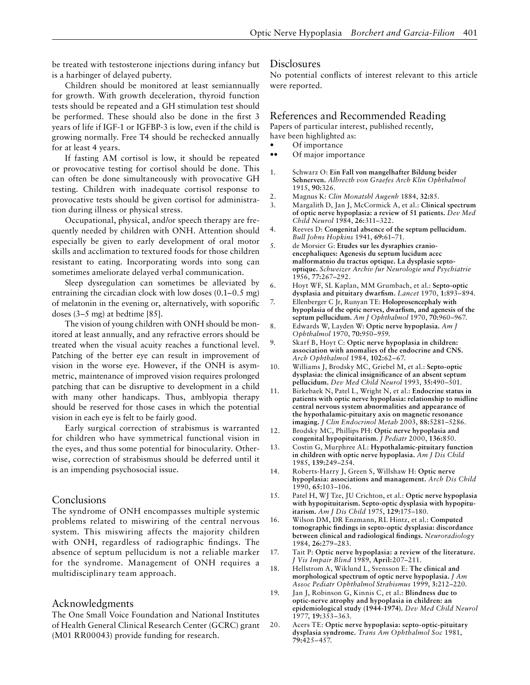be treated with testosterone injections during infancy but is a harbinger of delayed puberty.

Children should be monitored at least semiannually for growth. With growth deceleration, thyroid function tests should be repeated and a GH stimulation test should be performed. These should also be done in the first 3 years of life if IGF-1 or IGFBP-3 is low, even if the child is growing normally. Free T4 should be rechecked annually for at least 4 years.

If fasting AM cortisol is low, it should be repeated or provocative testing for cortisol should be done. This can often be done simultaneously with provocative GH testing. Children with inadequate cortisol response to provocative tests should be given cortisol for administration during illness or physical stress.

Occupational, physical, and/or speech therapy are frequently needed by children with ONH. Attention should especially be given to early development of oral motor skills and acclimation to textured foods for those children resistant to eating. Incorporating words into song can sometimes ameliorate delayed verbal communication.

Sleep dysregulation can sometimes be alleviated by entraining the circadian clock with low doses (0.1–0.5 mg) of melatonin in the evening or, alternatively, with soporific doses (3–5 mg) at bedtime [85].

The vision of young children with ONH should be monitored at least annually, and any refractive errors should be treated when the visual acuity reaches a functional level. Patching of the better eye can result in improvement of vision in the worse eye. However, if the ONH is asymmetric, maintenance of improved vision requires prolonged patching that can be disruptive to development in a child with many other handicaps. Thus, amblyopia therapy should be reserved for those cases in which the potential vision in each eye is felt to be fairly good.

Early surgical correction of strabismus is warranted for children who have symmetrical functional vision in the eyes, and thus some potential for binocularity. Otherwise, correction of strabismus should be deferred until it is an impending psychosocial issue.

## Conclusions

The syndrome of ONH encompasses multiple systemic problems related to miswiring of the central nervous system. This miswiring affects the majority children with ONH, regardless of radiographic findings. The absence of septum pellucidum is not a reliable marker for the syndrome. Management of ONH requires a multidisciplinary team approach.

## Acknowledgments

The One Small Voice Foundation and National Institutes of Health General Clinical Research Center (GCRC) grant (M01 RR00043) provide funding for research.

#### Disclosures

No potential conflicts of interest relevant to this article were reported.

## References and Recommended Reading

Papers of particular interest, published recently, have been highlighted as:

- Of importance
- Of major importance
- 1. Schwarz O: **Ein Fall von mangelhafter Bildung beider Sehnerven.** *Albrecth von Graefes Arch Klin Ophthalmol*  1915, **90:**326.
- 2. Magnus K: *Clin Monatsbl Augenh* 1884, **32:**85.
- 3. Margalith D, Jan J, McCormick A, et al.: **Clinical spectrum of optic nerve hypoplasia: a review of 51 patients.** *Dev Med Child Neurol* 1984, **26:**311–322.
- 4. Reeves D: **Congenital absence of the septum pellucidum.**  *Bull Johns Hopkins* 1941, **69:**61–71.
- 5. de Morsier G: **Etudes sur les dysraphies cranioencephaliques: Agenesis du septum lucidum acec malformatnio du tractus optique. La dysplasie septooptique.** *Schweizer Archiv fur Neurologie und Psychiatrie*  1956, **77:**267–292.
- 6. Hoyt WF, SL Kaplan, MM Grumbach, et al.: **Septo-optic dysplasia and pituitary dwarfism.** *Lancet* 1970, **1:**893–894.
- 7. Ellenberger C Jr, Runyan TE: **Holoprosencephaly with hypoplasia of the optic nerves, dwarfism, and agenesis of the septum pellucidum.** *Am J Ophthalmol* 1970, **70:**960–967.
- 8. Edwards W, Layden W: **Optic nerve hypoplasia.** *Am J Ophthalmol* 1970, **70:**950–959.
- 9. Skarf B, Hoyt C: **Optic nerve hypoplasia in children: association with anomalies of the endocrine and CNS.**  *Arch Ophthalmol* 1984, **102:**62–67.
- 10. Williams J, Brodsky MC, Griebel M, et al.: **Septo-optic dysplasia: the clinical insignificance of an absent septum pellucidum.** *Dev Med Child Neurol* 1993, **35:**490–501.
- 11. Birkebaek N, Patel L, Wright N, et al.: **Endocrine status in patients with optic nerve hypoplasia: relationship to midline central nervous system abnormalities and appearance of the hypothalamic-pituitary axis on magnetic resonance imaging.** *J Clin Endocrinol Metab* 2003, **88:**5281–5286.
- 12. Brodsky MC, Phillips PH: **Optic nerve hypoplasia and congenital hypopituitarism.** *J Pediatr* 2000, **136:**850.
- 13. Costin G, Murphree AL: **Hypothalamic-pituitary function in children with optic nerve hypoplasia.** *Am J Dis Child*  1985, **139:**249–254.
- 14. Roberts-Harry J, Green S, Willshaw H: **Optic nerve hypoplasia: associations and management.** *Arch Dis Child*  1990, **65:**103–106.
- 15. Patel H, WJ Tze, JU Crichton, et al.: **Optic nerve hypoplasia with hypopituitarism. Septo-optic dysplasia with hypopituitarism.** *Am J Dis Child* 1975, **129:**175–180.
- 16. Wilson DM, DR Enzmann, RL Hintz, et al.: **Computed tomographic findings in septo-optic dysplasia: discordance between clinical and radiological findings.** *Neuroradiology*  1984, **26:**279–283.
- 17. Tait P: **Optic nerve hypoplasia: a review of the literature.**  *J Vis Impair Blind* 1989, **April:**207–211.
- 18. Hellstrom A, Wiklund L, Svensson E: **The clinical and morphological spectrum of optic nerve hypoplasia.** *J Am Assoc Pediatr Ophthalmol Strabismus* 1999, **3:**212–220.
- 19. Jan J, Robinson G, Kinnis C, et al.: **Blindness due to optic-nerve atrophy and hypoplasia in children: an epidemiological study (1944-1974).** *Dev Med Child Neurol*  1977, **19:**353–363.
- 20. Acers TE: **Optic nerve hypoplasia: septo-optic-pituitary dysplasia syndrome.** *Trans Am Ophthalmol Soc* 1981, **79:**425–457.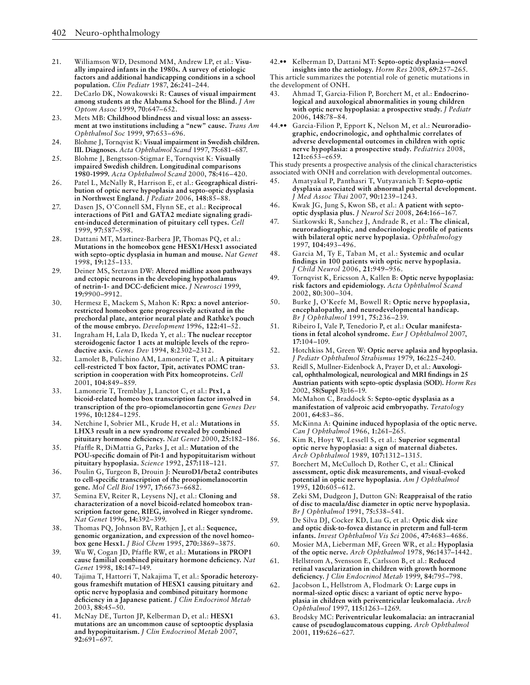- 21. Williamson WD, Desmond MM, Andrew LP, et al.: **Visually impaired infants in the 1980s. A survey of etiologic factors and additional handicapping conditions in a school population.** *Clin Pediatr* 1987, **26:**241–244.
- 22. DeCarlo DK, Nowakowski R: **Causes of visual impairment among students at the Alabama School for the Blind.** *J Am Optom Assoc* 1999, **70:**647–652.
- 23. Mets MB: **Childhood blindness and visual loss: an assessment at two institutions including a "new" cause.** *Trans Am Ophthalmol Soc* 1999, **97:**653–696.
- 24. Blohme J, Tornqvist K: **Visual impairment in Swedish children. III. Diagnoses.** *Acta Ophthalmol Scand* 1997, **75:**681–687.
- 25. Blohme J, Bengtsson-Stigmar E, Tornqvist K: **Visually impaired Swedish children. Longitudinal comparisons 1980-1999.** *Acta Ophthalmol Scand* 2000, **78:**416–420.
- 26. Patel L, McNally R, Harrison E, et al.: **Geographical distribution of optic nerve hypoplasia and septo-optic dysplasia in Northwest England.** *J Pediatr* 2006, **148:**85–88.
- 27. Dasen JS, O'Connell SM, Flynn SE, et al.: **Reciprocal interactions of Pit1 and GATA2 mediate signaling gradient-induced determination of pituitary cell types.** *Cell*  1999, **97:**587–598.
- 28. Dattani MT, Martinez-Barbera JP, Thomas PQ, et al.: **Mutations in the homeobox gene HESX1/Hesx1 associated with septo-optic dysplasia in human and mouse.** *Nat Genet*  1998, **19:**125–133.
- 29. Deiner MS, Sretavan DW: **Altered midline axon pathways and ectopic neurons in the developing hypothalamus of netrin-1- and DCC-deficient mice.** *J Neurosci* 1999, **19:**9900–9912.
- 30. Hermesz E, Mackem S, Mahon K: **Rpx: a novel anteriorrestricted homeobox gene progressively activated in the prechordal plate, anterior neural plate and Rathke's pouch of the mouse embryo.** *Development* 1996, **122:**41–52.
- 31. Ingraham H, Lala D, Ikeda Y, et al.: **The nuclear receptor steroidogenic factor 1 acts at multiple levels of the reproductive axis.** *Genes Dev* 1994, **8:**2302–2312.
- 32. Lamolet B, Pulichino AM, Lamonerie T, et al.: **A pituitary cell-restricted T box factor, Tpit, activates POMC transcription in cooperation with Pitx homeoproteins.** *Cell*  2001, **104:**849–859.
- 33. Lamonerie T, Tremblay J, Lanctot C, et al.: **Ptx1, a bicoid-related homeo box transcription factor involved in transcription of the pro-opiomelanocortin gene** *Genes Dev*  1996, **10:**1284–1295.
- 34. Netchine I, Sobrier ML, Krude H, et al.: **Mutations in LHX3 result in a new syndrome revealed by combined pituitary hormone deficiency.** *Nat Genet* 2000, **25:**182–186.
- 35. Pfaffle R, DiMattia G, Parks J, et al.: **Mutation of the POU-specific domain of Pit-1 and hypopituitarism without pituitary hypoplasia.** *Science* 1992, **257:**118–121.
- 36. Poulin G, Turgeon B, Drouin J: **NeuroD1/beta2 contributes to cell-specific transcription of the proopiomelanocortin gene.** *Mol Cell Biol* 1997, **17:**6673–6682.
- 37. Semina EV, Reiter R, Leysens NJ, et al.: **Cloning and characterization of a novel bicoid-related homeobox transcription factor gene, RIEG, involved in Rieger syndrome.**  *Nat Genet* 1996, **14:**392–399.
- 38. Thomas PQ, Johnson BV, Rathjen J, et al.: **Sequence, genomic organization, and expression of the novel homeobox gene Hesx1.** *J Biol Chem* 1995, **270:**3869–3875.
- 39. Wu W, Cogan JD, Pfaffle RW, et al.: **Mutations in PROP1 cause familial combined pituitary hormone deficiency.** *Nat Genet* 1998, **18:**147–149.
- 40. Tajima T, Hattorri T, Nakajima T, et al.: **Sporadic heterozygous frameshift mutation of HESX1 causing pituitary and optic nerve hypoplasia and combined pituitary hormone deficiency in a Japanese patient.** *J Clin Endocrinol Metab*  2003, **88:**45–50.
- 41. McNay DE, Turton JP, Kelberman D, et al.: **HESX1 mutations are an uncommon cause of septooptic dysplasia and hypopituitarism.** *J Clin Endocrinol Metab* 2007, **92:**691–697.

42.•• Kelberman D, Dattani MT: **Septo-optic dysplasia—novel insights into the aetiology.** *Horm Res* 2008, **69:**257–265. This article summarizes the potential role of genetic mutations in

the development of ONH.

- 43. Ahmad T, Garcia-Filion P, Borchert M, et al.: **Endocrinological and auxological abnormalities in young children with optic nerve hypoplasia: a prospective study.** *J Pediatr*  2006, **148:**78–84.
- 44.•• Garcia-Filion P, Epport K, Nelson M, et al.: **Neuroradiographic, endocrinologic, and ophthalmic correlates of adverse developmental outcomes in children with optic nerve hypoplasia: a prospective study.** *Pediatrics* 2008, **121:**e653–e659.

This study presents a prospective analysis of the clinical characteristics associated with ONH and correlation with developmental outcomes.

- 45. Amatyakul P, Panthasri T, Vutyavanich T: **Septo-optic dysplasia associated with abnormal pubertal development.**  *J Med Assoc Thai* 2007, **90:**1239–1243.
- 46. Kwak JG, Jung S, Kwon SB, et al.: **A patient with septooptic dysplasia plus.** *J Neurol Sci* 2008, **264:**166–167.
- 47. Siatkowski R, Sanchez J, Andrade R, et al.: **The clinical, neuroradiographic, and endocrinologic profile of patients with bilateral optic nerve hypoplasia.** *Ophthalmology*  1997, **104:**493–496.
- 48. Garcia M, Ty E, Taban M, et al.: **Systemic and ocular findings in 100 patients with optic nerve hypoplasia.**  *J Child Neurol* 2006, **21:**949–956.
- 49. Tornqvist K, Ericsson A, Kallen B: **Optic nerve hypoplasia: risk factors and epidemiology.** *Acta Ophthalmol Scand*  2002, **80:**300–304.
- 50. Burke J, O'Keefe M, Bowell R: **Optic nerve hypoplasia, encephalopathy, and neurodevelopmental handicap.**  *Br J Ophthalmol* 1991, **75:**236–239.
- 51. Ribeiro I, Vale P, Tenedorio P, et al.: **Ocular manifestations in fetal alcohol syndrome.** *Eur J Ophthalmol* 2007, **17:**104–109.
- 52. Hotchkiss M, Green W: **Optic nerve aplasia and hypoplasia.**  *J Pediatr Ophthalmol Strabismus* 1979, **16:**225–240.
- 53. Reidl S, Mullner-Eidenbock A, Prayer D, et al.: **Auxological, ophthalmological, neurological and MRI findings in 25 Austrian patients with septo-optic dysplasia (SOD).** *Horm Res*  2002, **58(Suppl 3):**16–19.
- 54. McMahon C, Braddock S: **Septo-optic dysplasia as a manifestation of valproic acid embryopathy.** *Teratology*  2001, **64:**83–86.
- 55. McKinna A: **Quinine induced hypoplasia of the optic nerve.**  *Can J Ophthalmol* 1966, **1:**261–265.
- 56. Kim R, Hoyt W, Lessell S, et al.: **Superior segmental optic nerve hypoplasia: a sign of maternal diabetes.**  *Arch Ophthalmol* 1989, **107:**1312–1315.
- 57. Borchert M, McCulloch D, Rother C, et al.: **Clinical assessment, optic disk measurements, and visual-evoked potential in optic nerve hypoplasia.** *Am J Ophthalmol*  1995, **120:**605–612.
- 58. Zeki SM, Dudgeon J, Dutton GN: **Reappraisal of the ratio of disc to macula/disc diameter in optic nerve hypoplasia.**  *Br J Ophthalmol* 1991, **75:**538–541.
- 59. De Silva DJ, Cocker KD, Lau G, et al.: **Optic disk size and optic disk-to-fovea distance in preterm and full-term infants.** *Invest Ophthalmol Vis Sci* 2006, **47:**4683–4686.
- 60. Mosier MA, Lieberman MF, Green WR, et al.: **Hypoplasia of the optic nerve.** *Arch Ophthalmol* 1978, **96:**1437–1442.
- 61. Hellstrom A, Svensson E, Carlsson B, et al.: **Reduced retinal vascularization in children with growth hormone deficiency.** *J Clin Endocrinol Metab* 1999, **84:**795–798.
- 62. Jacobson L, Hellstrom A, Flodmark O: **Large cups in normal-sized optic discs: a variant of optic nerve hypoplasia in children with periventricular leukomalacia.** *Arch Ophthalmol* 1997, **115:**1263–1269.
- 63. Brodsky MC: **Periventricular leukomalacia: an intracranial cause of pseudoglaucomatous cupping.** *Arch Ophthalmol*  2001, **119:**626–627.